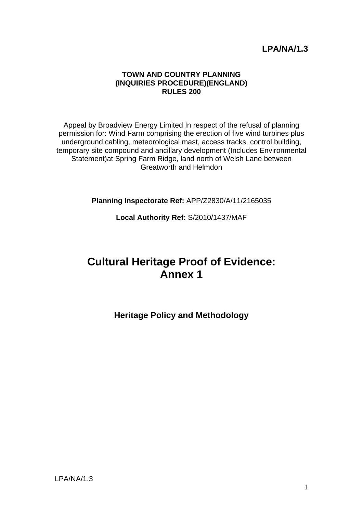## **LPA/NA/1.3**

#### **TOWN AND COUNTRY PLANNING (INQUIRIES PROCEDURE)(ENGLAND) RULES 200**

Appeal by Broadview Energy Limited In respect of the refusal of planning permission for: Wind Farm comprising the erection of five wind turbines plus underground cabling, meteorological mast, access tracks, control building, temporary site compound and ancillary development (Includes Environmental Statement)at Spring Farm Ridge, land north of Welsh Lane between Greatworth and Helmdon

**Planning Inspectorate Ref:** APP/Z2830/A/11/2165035

**Local Authority Ref:** S/2010/1437/MAF

# **Cultural Heritage Proof of Evidence: Annex 1**

**Heritage Policy and Methodology**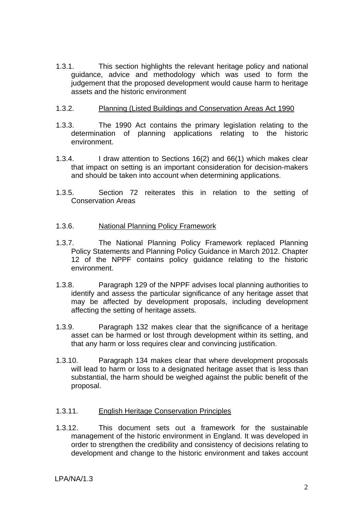1.3.1. This section highlights the relevant heritage policy and national guidance, advice and methodology which was used to form the judgement that the proposed development would cause harm to heritage assets and the historic environment

#### 1.3.2. Planning (Listed Buildings and Conservation Areas Act 1990

- 1.3.3. The 1990 Act contains the primary legislation relating to the determination of planning applications relating to the historic environment.
- 1.3.4. I draw attention to Sections 16(2) and 66(1) which makes clear that impact on setting is an important consideration for decision-makers and should be taken into account when determining applications.
- 1.3.5. Section 72 reiterates this in relation to the setting of Conservation Areas

#### 1.3.6. National Planning Policy Framework

- 1.3.7. The National Planning Policy Framework replaced Planning Policy Statements and Planning Policy Guidance in March 2012. Chapter 12 of the NPPF contains policy guidance relating to the historic environment.
- 1.3.8. Paragraph 129 of the NPPF advises local planning authorities to identify and assess the particular significance of any heritage asset that may be affected by development proposals, including development affecting the setting of heritage assets.
- 1.3.9. Paragraph 132 makes clear that the significance of a heritage asset can be harmed or lost through development within its setting, and that any harm or loss requires clear and convincing justification.
- 1.3.10. Paragraph 134 makes clear that where development proposals will lead to harm or loss to a designated heritage asset that is less than substantial, the harm should be weighed against the public benefit of the proposal.

#### 1.3.11. English Heritage Conservation Principles

1.3.12. This document sets out a framework for the sustainable management of the historic environment in England. It was developed in order to strengthen the credibility and consistency of decisions relating to development and change to the historic environment and takes account